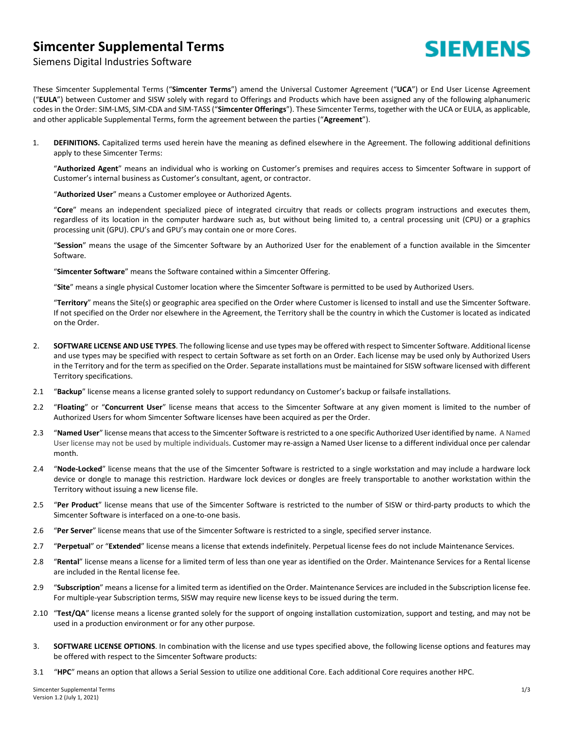## **Simcenter Supplemental Terms**



## Siemens Digital Industries Software

These Simcenter Supplemental Terms ("**Simcenter Terms**") amend the Universal Customer Agreement ("**UCA**") or End User License Agreement ("**EULA**") between Customer and SISW solely with regard to Offerings and Products which have been assigned any of the following alphanumeric codes in the Order: SIM-LMS, SIM-CDA and SIM-TASS ("**Simcenter Offerings**"). These Simcenter Terms, together with the UCA or EULA, as applicable, and other applicable Supplemental Terms, form the agreement between the parties ("**Agreement**").

1. **DEFINITIONS.** Capitalized terms used herein have the meaning as defined elsewhere in the Agreement. The following additional definitions apply to these Simcenter Terms:

"**Authorized Agent**" means an individual who is working on Customer's premises and requires access to Simcenter Software in support of Customer's internal business as Customer's consultant, agent, or contractor.

"**Authorized User**" means a Customer employee or Authorized Agents.

"**Core**" means an independent specialized piece of integrated circuitry that reads or collects program instructions and executes them, regardless of its location in the computer hardware such as, but without being limited to, a central processing unit (CPU) or a graphics processing unit (GPU). CPU's and GPU's may contain one or more Cores.

"**Session**" means the usage of the Simcenter Software by an Authorized User for the enablement of a function available in the Simcenter Software.

"**Simcenter Software**" means the Software contained within a Simcenter Offering.

"**Site**" means a single physical Customer location where the Simcenter Software is permitted to be used by Authorized Users.

"**Territory**" means the Site(s) or geographic area specified on the Order where Customer is licensed to install and use the Simcenter Software. If not specified on the Order nor elsewhere in the Agreement, the Territory shall be the country in which the Customer is located as indicated on the Order.

- 2. **SOFTWARE LICENSE AND USE TYPES**. The following license and use types may be offered with respect to Simcenter Software. Additional license and use types may be specified with respect to certain Software as set forth on an Order. Each license may be used only by Authorized Users in the Territory and for the term as specified on the Order. Separate installations must be maintained for SISW software licensed with different Territory specifications.
- 2.1 "**Backup**" license means a license granted solely to support redundancy on Customer's backup or failsafe installations.
- 2.2 "**Floating**" or "**Concurrent User**" license means that access to the Simcenter Software at any given moment is limited to the number of Authorized Users for whom Simcenter Software licenses have been acquired as per the Order.
- 2.3 "**Named User**" license means that access to the Simcenter Software is restricted to a one specific Authorized User identified by name. A Named User license may not be used by multiple individuals. Customer may re-assign a Named User license to a different individual once per calendar month.
- 2.4 "**Node-Locked**" license means that the use of the Simcenter Software is restricted to a single workstation and may include a hardware lock device or dongle to manage this restriction. Hardware lock devices or dongles are freely transportable to another workstation within the Territory without issuing a new license file.
- 2.5 "**Per Product**" license means that use of the Simcenter Software is restricted to the number of SISW or third-party products to which the Simcenter Software is interfaced on a one-to-one basis.
- 2.6 "**Per Server**" license means that use of the Simcenter Software is restricted to a single, specified server instance.
- 2.7 "**Perpetual**" or "**Extended**" license means a license that extends indefinitely. Perpetual license fees do not include Maintenance Services.
- 2.8 "**Rental**" license means a license for a limited term of less than one year as identified on the Order. Maintenance Services for a Rental license are included in the Rental license fee.
- 2.9 "**Subscription**" means a license for a limited term as identified on the Order. Maintenance Services are included in the Subscription license fee. For multiple-year Subscription terms, SISW may require new license keys to be issued during the term.
- 2.10 "**Test/QA**" license means a license granted solely for the support of ongoing installation customization, support and testing, and may not be used in a production environment or for any other purpose.
- 3. **SOFTWARE LICENSE OPTIONS**. In combination with the license and use types specified above, the following license options and features may be offered with respect to the Simcenter Software products:
- 3.1 "**HPC**" means an option that allows a Serial Session to utilize one additional Core. Each additional Core requires another HPC.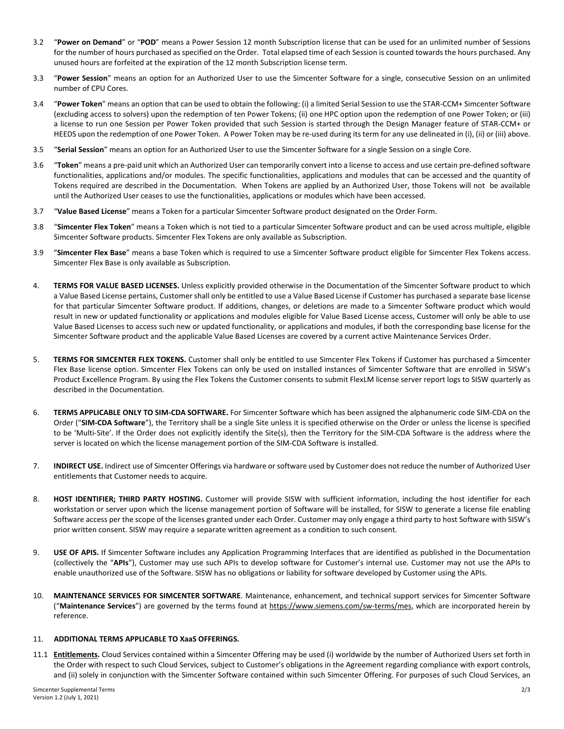- 3.2 "**Power on Demand**" or "**POD**" means a Power Session 12 month Subscription license that can be used for an unlimited number of Sessions for the number of hours purchased as specified on the Order. Total elapsed time of each Session is counted towards the hours purchased. Any unused hours are forfeited at the expiration of the 12 month Subscription license term.
- 3.3 "**Power Session**" means an option for an Authorized User to use the Simcenter Software for a single, consecutive Session on an unlimited number of CPU Cores.
- 3.4 "**Power Token**" means an option that can be used to obtain the following: (i) a limited Serial Session to use the STAR-CCM+ Simcenter Software (excluding access to solvers) upon the redemption of ten Power Tokens; (ii) one HPC option upon the redemption of one Power Token; or (iii) a license to run one Session per Power Token provided that such Session is started through the Design Manager feature of STAR-CCM+ or HEEDS upon the redemption of one Power Token. A Power Token may be re-used during its term for any use delineated in (i), (ii) or (iii) above.
- 3.5 "**Serial Session**" means an option for an Authorized User to use the Simcenter Software for a single Session on a single Core.
- 3.6 "**Token**" means a pre-paid unit which an Authorized User can temporarily convert into a license to access and use certain pre-defined software functionalities, applications and/or modules. The specific functionalities, applications and modules that can be accessed and the quantity of Tokens required are described in the Documentation. When Tokens are applied by an Authorized User, those Tokens will not be available until the Authorized User ceases to use the functionalities, applications or modules which have been accessed.
- 3.7 "**Value Based License**" means a Token for a particular Simcenter Software product designated on the Order Form.
- 3.8 "**Simcenter Flex Token**" means a Token which is not tied to a particular Simcenter Software product and can be used across multiple, eligible Simcenter Software products. Simcenter Flex Tokens are only available as Subscription.
- 3.9 "**Simcenter Flex Base**" means a base Token which is required to use a Simcenter Software product eligible for Simcenter Flex Tokens access. Simcenter Flex Base is only available as Subscription.
- 4. **TERMS FOR VALUE BASED LICENSES.** Unless explicitly provided otherwise in the Documentation of the Simcenter Software product to which a Value Based License pertains, Customer shall only be entitled to use a Value Based License if Customer has purchased a separate base license for that particular Simcenter Software product. If additions, changes, or deletions are made to a Simcenter Software product which would result in new or updated functionality or applications and modules eligible for Value Based License access, Customer will only be able to use Value Based Licenses to access such new or updated functionality, or applications and modules, if both the corresponding base license for the Simcenter Software product and the applicable Value Based Licenses are covered by a current active Maintenance Services Order.
- 5. **TERMS FOR SIMCENTER FLEX TOKENS.** Customer shall only be entitled to use Simcenter Flex Tokens if Customer has purchased a Simcenter Flex Base license option. Simcenter Flex Tokens can only be used on installed instances of Simcenter Software that are enrolled in SISW's Product Excellence Program. By using the Flex Tokens the Customer consents to submit FlexLM license server report logs to SISW quarterly as described in the Documentation.
- 6. **TERMS APPLICABLE ONLY TO SIM-CDA SOFTWARE.** For Simcenter Software which has been assigned the alphanumeric code SIM-CDA on the Order ("**SIM-CDA Software**"), the Territory shall be a single Site unless it is specified otherwise on the Order or unless the license is specified to be 'Multi-Site'. If the Order does not explicitly identify the Site(s), then the Territory for the SIM-CDA Software is the address where the server is located on which the license management portion of the SIM-CDA Software is installed.
- 7. **INDIRECT USE.** Indirect use of Simcenter Offerings via hardware or software used by Customer does not reduce the number of Authorized User entitlements that Customer needs to acquire.
- 8. **HOST IDENTIFIER; THIRD PARTY HOSTING.** Customer will provide SISW with sufficient information, including the host identifier for each workstation or server upon which the license management portion of Software will be installed, for SISW to generate a license file enabling Software access per the scope of the licenses granted under each Order. Customer may only engage a third party to host Software with SISW's prior written consent. SISW may require a separate written agreement as a condition to such consent.
- 9. **USE OF APIS.** If Simcenter Software includes any Application Programming Interfaces that are identified as published in the Documentation (collectively the "**APIs**"), Customer may use such APIs to develop software for Customer's internal use. Customer may not use the APIs to enable unauthorized use of the Software. SISW has no obligations or liability for software developed by Customer using the APIs.
- 10. **MAINTENANCE SERVICES FOR SIMCENTER SOFTWARE**. Maintenance, enhancement, and technical support services for Simcenter Software ("**Maintenance Services**") are governed by the terms found at [https://www.siemens.com/sw-terms/mes,](https://www.siemens.com/sw-terms/mes) which are incorporated herein by reference.

## 11. **ADDITIONAL TERMS APPLICABLE TO XaaS OFFERINGS.**

11.1 **Entitlements.** Cloud Services contained within a Simcenter Offering may be used (i) worldwide by the number of Authorized Users set forth in the Order with respect to such Cloud Services, subject to Customer's obligations in the Agreement regarding compliance with export controls, and (ii) solely in conjunction with the Simcenter Software contained within such Simcenter Offering. For purposes of such Cloud Services, an